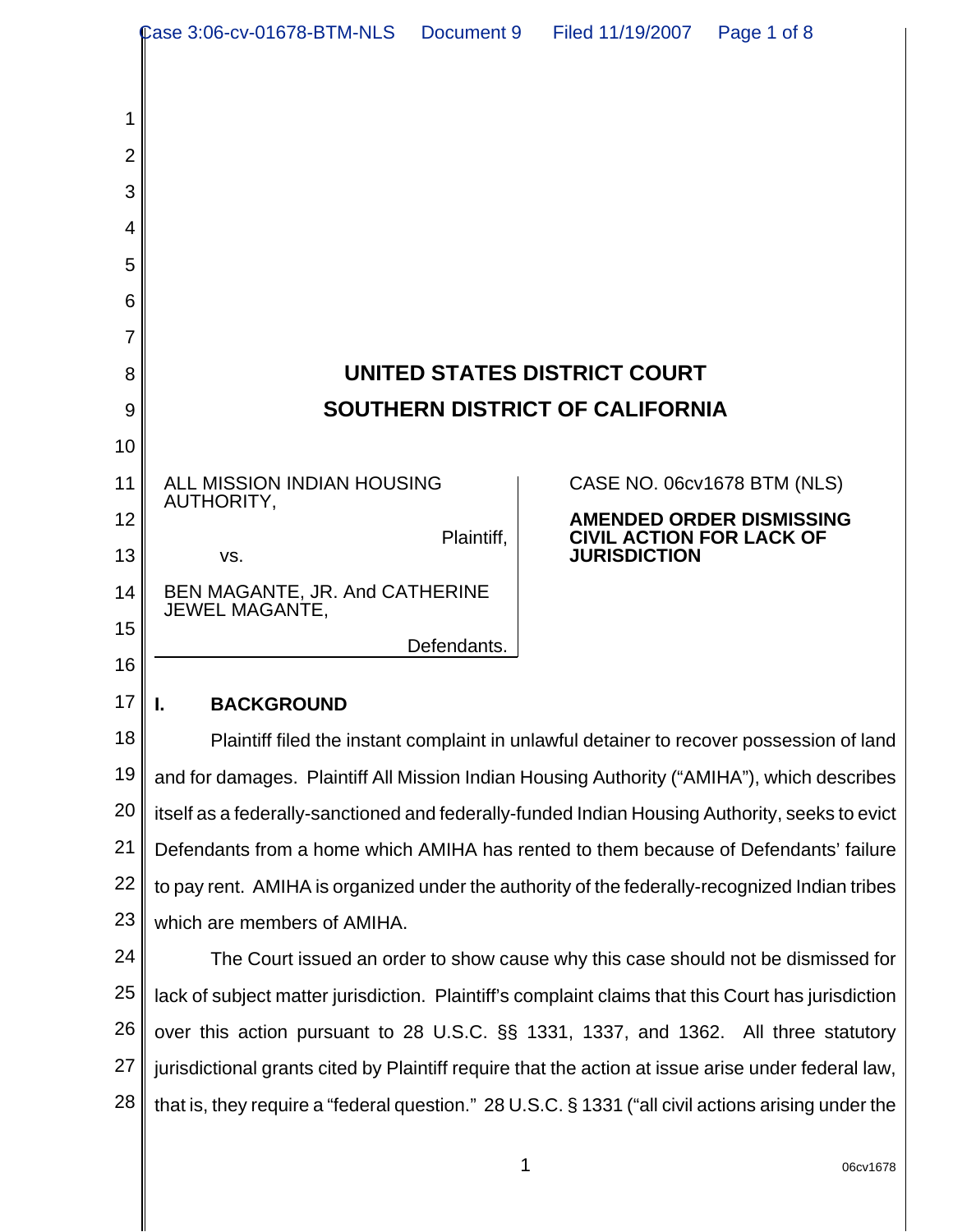|                | Case 3:06-cv-01678-BTM-NLS Document 9                                                              | Filed 11/19/2007<br>Page 1 of 8                                                                    |  |
|----------------|----------------------------------------------------------------------------------------------------|----------------------------------------------------------------------------------------------------|--|
|                |                                                                                                    |                                                                                                    |  |
| 1              |                                                                                                    |                                                                                                    |  |
| $\overline{2}$ |                                                                                                    |                                                                                                    |  |
| 3              |                                                                                                    |                                                                                                    |  |
| 4              |                                                                                                    |                                                                                                    |  |
| 5              |                                                                                                    |                                                                                                    |  |
| 6              |                                                                                                    |                                                                                                    |  |
| 7              |                                                                                                    |                                                                                                    |  |
| 8              |                                                                                                    | UNITED STATES DISTRICT COURT                                                                       |  |
| 9              |                                                                                                    | <b>SOUTHERN DISTRICT OF CALIFORNIA</b>                                                             |  |
| 10             |                                                                                                    |                                                                                                    |  |
| 11             | ALL MISSION INDIAN HOUSING<br>AUTHORITY,                                                           | CASE NO. 06cv1678 BTM (NLS)                                                                        |  |
| 12             | Plaintiff,                                                                                         | <b>AMENDED ORDER DISMISSING</b><br><b>CIVIL ACTION FOR LACK OF</b>                                 |  |
| 13             | VS.                                                                                                | <b>JURISDICTION</b>                                                                                |  |
| 14             | BEN MAGANTE, JR. And CATHERINE<br><b>JEWEL MAGANTE,</b>                                            |                                                                                                    |  |
| 15             | Defendants.                                                                                        |                                                                                                    |  |
| 16             |                                                                                                    |                                                                                                    |  |
| 17             | <b>BACKGROUND</b><br>ı.                                                                            |                                                                                                    |  |
| 18             | Plaintiff filed the instant complaint in unlawful detainer to recover possession of land           |                                                                                                    |  |
| 19             | and for damages. Plaintiff All Mission Indian Housing Authority ("AMIHA"), which describes         |                                                                                                    |  |
| 20             | itself as a federally-sanctioned and federally-funded Indian Housing Authority, seeks to evict     |                                                                                                    |  |
| 21             | Defendants from a home which AMIHA has rented to them because of Defendants' failure               |                                                                                                    |  |
| 22             | to pay rent. AMIHA is organized under the authority of the federally-recognized Indian tribes      |                                                                                                    |  |
| 23             | which are members of AMIHA.                                                                        |                                                                                                    |  |
| 24             | The Court issued an order to show cause why this case should not be dismissed for                  |                                                                                                    |  |
| 25             | lack of subject matter jurisdiction. Plaintiff's complaint claims that this Court has jurisdiction |                                                                                                    |  |
| 26             | over this action pursuant to 28 U.S.C. §§ 1331, 1337, and 1362. All three statutory                |                                                                                                    |  |
| 27             | jurisdictional grants cited by Plaintiff require that the action at issue arise under federal law, |                                                                                                    |  |
| 28             |                                                                                                    | that is, they require a "federal question." 28 U.S.C. § 1331 ("all civil actions arising under the |  |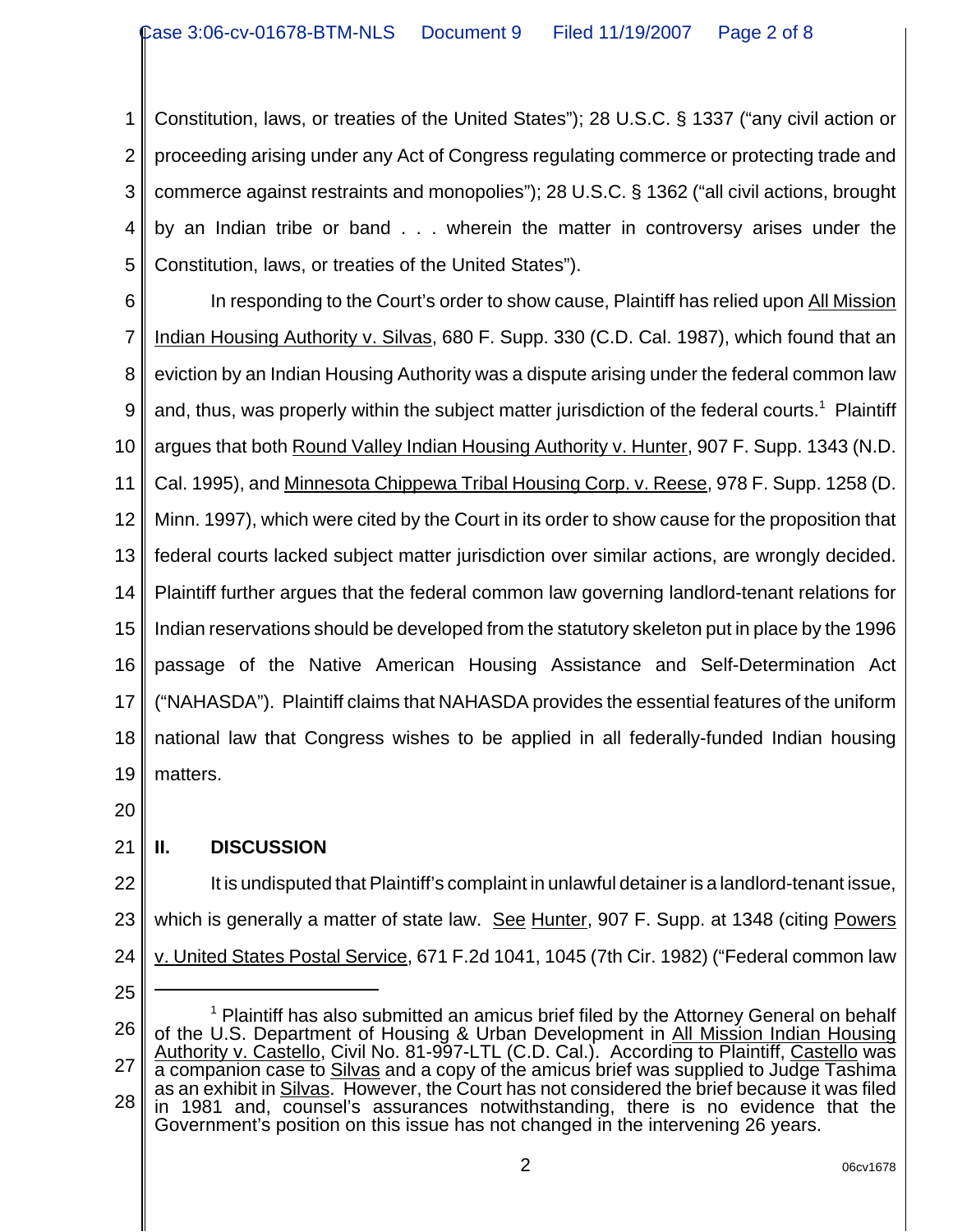1 2 3 4 5 Constitution, laws, or treaties of the United States"); 28 U.S.C. § 1337 ("any civil action or proceeding arising under any Act of Congress regulating commerce or protecting trade and commerce against restraints and monopolies"); 28 U.S.C. § 1362 ("all civil actions, brought by an Indian tribe or band . . . wherein the matter in controversy arises under the Constitution, laws, or treaties of the United States").

6

7 8 9 10 11 12 13 14 15 16 17 18 19 In responding to the Court's order to show cause, Plaintiff has relied upon All Mission Indian Housing Authority v. Silvas, 680 F. Supp. 330 (C.D. Cal. 1987), which found that an eviction by an Indian Housing Authority was a dispute arising under the federal common law and, thus, was properly within the subject matter jurisdiction of the federal courts.<sup>1</sup> Plaintiff argues that both Round Valley Indian Housing Authority v. Hunter, 907 F. Supp. 1343 (N.D. Cal. 1995), and Minnesota Chippewa Tribal Housing Corp. v. Reese, 978 F. Supp. 1258 (D. Minn. 1997), which were cited by the Court in its order to show cause for the proposition that federal courts lacked subject matter jurisdiction over similar actions, are wrongly decided. Plaintiff further argues that the federal common law governing landlord-tenant relations for Indian reservations should be developed from the statutory skeleton put in place by the 1996 passage of the Native American Housing Assistance and Self-Determination Act ("NAHASDA"). Plaintiff claims that NAHASDA provides the essential features of the uniform national law that Congress wishes to be applied in all federally-funded Indian housing matters.

20

## 21 **II. DISCUSSION**

22 23 24 It is undisputed that Plaintiff's complaint in unlawful detainer is a landlord-tenant issue, which is generally a matter of state law. See Hunter, 907 F. Supp. at 1348 (citing Powers v. United States Postal Service, 671 F.2d 1041, 1045 (7th Cir. 1982) ("Federal common law

25

<sup>26</sup> 27 28 <sup>1</sup> Plaintiff has also submitted an amicus brief filed by the Attorney General on behalf of the U.S. Department of Housing & Urban Development in All Mission Indian Housing Authority v. Castello, Civil No. 81-997-LTL (C.D. Cal.). According to Plaintiff, Castello was a companion case to Silvas and a copy of the amicus brief was supplied to Judge Tashima as an exhibit in Silvas. However, the Court has not considered the brief because it was filed in 1981 and, counsel's assurances notwithstanding, there is no evidence that the Government's position on this issue has not changed in the intervening 26 years.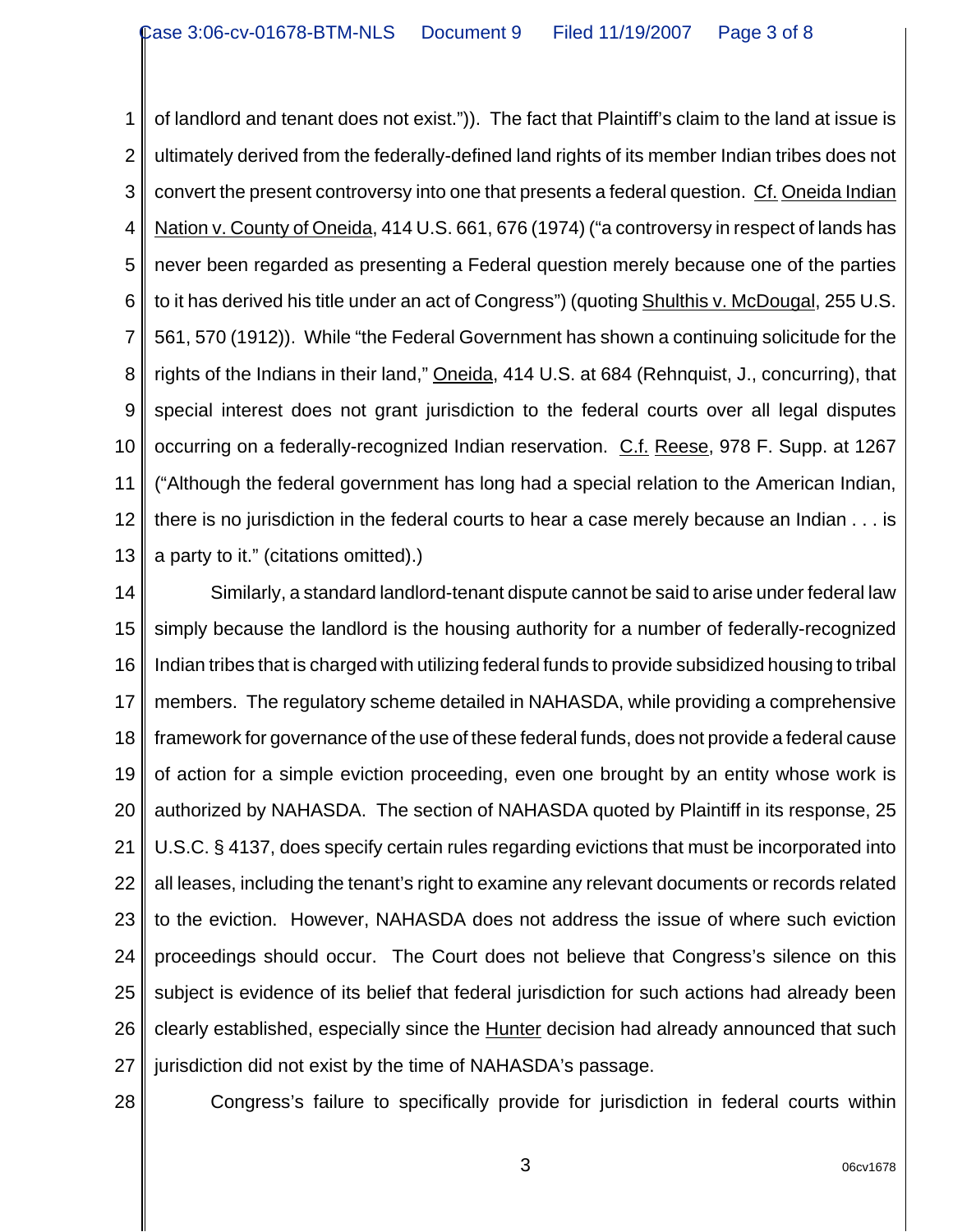1 2 3 4 5 6 7 8 9 10 11 12 13 of landlord and tenant does not exist.")). The fact that Plaintiff's claim to the land at issue is ultimately derived from the federally-defined land rights of its member Indian tribes does not convert the present controversy into one that presents a federal question. Cf. Oneida Indian Nation v. County of Oneida, 414 U.S. 661, 676 (1974) ("a controversy in respect of lands has never been regarded as presenting a Federal question merely because one of the parties to it has derived his title under an act of Congress") (quoting Shulthis v. McDougal, 255 U.S. 561, 570 (1912)). While "the Federal Government has shown a continuing solicitude for the rights of the Indians in their land," Oneida, 414 U.S. at 684 (Rehnquist, J., concurring), that special interest does not grant jurisdiction to the federal courts over all legal disputes occurring on a federally-recognized Indian reservation. C.f. Reese, 978 F. Supp. at 1267 ("Although the federal government has long had a special relation to the American Indian, there is no jurisdiction in the federal courts to hear a case merely because an Indian . . . is a party to it." (citations omitted).)

14 15 16 17 18 19 20 21 22 23 24 25 26 27 Similarly, a standard landlord-tenant dispute cannot be said to arise under federal law simply because the landlord is the housing authority for a number of federally-recognized Indian tribes that is charged with utilizing federal funds to provide subsidized housing to tribal members. The regulatory scheme detailed in NAHASDA, while providing a comprehensive framework for governance of the use of these federal funds, does not provide a federal cause of action for a simple eviction proceeding, even one brought by an entity whose work is authorized by NAHASDA. The section of NAHASDA quoted by Plaintiff in its response, 25 U.S.C. § 4137, does specify certain rules regarding evictions that must be incorporated into all leases, including the tenant's right to examine any relevant documents or records related to the eviction. However, NAHASDA does not address the issue of where such eviction proceedings should occur. The Court does not believe that Congress's silence on this subject is evidence of its belief that federal jurisdiction for such actions had already been clearly established, especially since the Hunter decision had already announced that such jurisdiction did not exist by the time of NAHASDA's passage.

28

Congress's failure to specifically provide for jurisdiction in federal courts within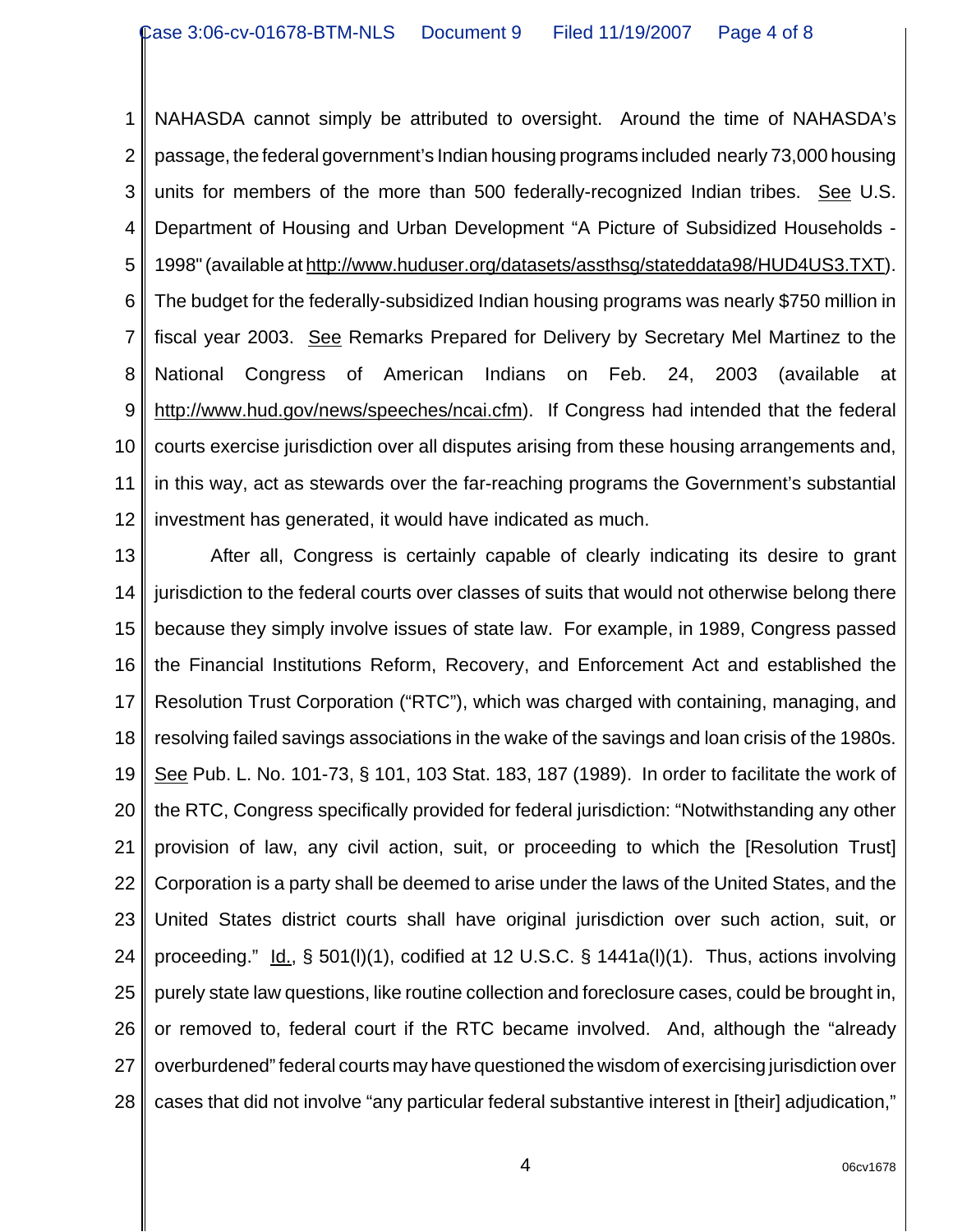1 2 3 4 5 6 7 8 9 10 11 12 NAHASDA cannot simply be attributed to oversight. Around the time of NAHASDA's passage, the federal government's Indian housing programs included nearly 73,000 housing units for members of the more than 500 federally-recognized Indian tribes. See U.S. Department of Housing and Urban Development "A Picture of Subsidized Households - 1998" (available at http://www.huduser.org/datasets/assthsg/stateddata98/HUD4US3.TXT). The budget for the federally-subsidized Indian housing programs was nearly \$750 million in fiscal year 2003. See Remarks Prepared for Delivery by Secretary Mel Martinez to the National Congress of American Indians on Feb. 24, 2003 (available at http://www.hud.gov/news/speeches/ncai.cfm). If Congress had intended that the federal courts exercise jurisdiction over all disputes arising from these housing arrangements and, in this way, act as stewards over the far-reaching programs the Government's substantial investment has generated, it would have indicated as much.

13 14 15 16 17 18 19 20 21 22 23 24 25 26 27 28 After all, Congress is certainly capable of clearly indicating its desire to grant jurisdiction to the federal courts over classes of suits that would not otherwise belong there because they simply involve issues of state law. For example, in 1989, Congress passed the Financial Institutions Reform, Recovery, and Enforcement Act and established the Resolution Trust Corporation ("RTC"), which was charged with containing, managing, and resolving failed savings associations in the wake of the savings and loan crisis of the 1980s. See Pub. L. No. 101-73, § 101, 103 Stat. 183, 187 (1989). In order to facilitate the work of the RTC, Congress specifically provided for federal jurisdiction: "Notwithstanding any other provision of law, any civil action, suit, or proceeding to which the [Resolution Trust] Corporation is a party shall be deemed to arise under the laws of the United States, and the United States district courts shall have original jurisdiction over such action, suit, or proceeding." Id., § 501(I)(1), codified at 12 U.S.C. § 1441a(I)(1). Thus, actions involving purely state law questions, like routine collection and foreclosure cases, could be brought in, or removed to, federal court if the RTC became involved. And, although the "already overburdened" federal courts may have questioned the wisdom of exercising jurisdiction over cases that did not involve "any particular federal substantive interest in [their] adjudication,"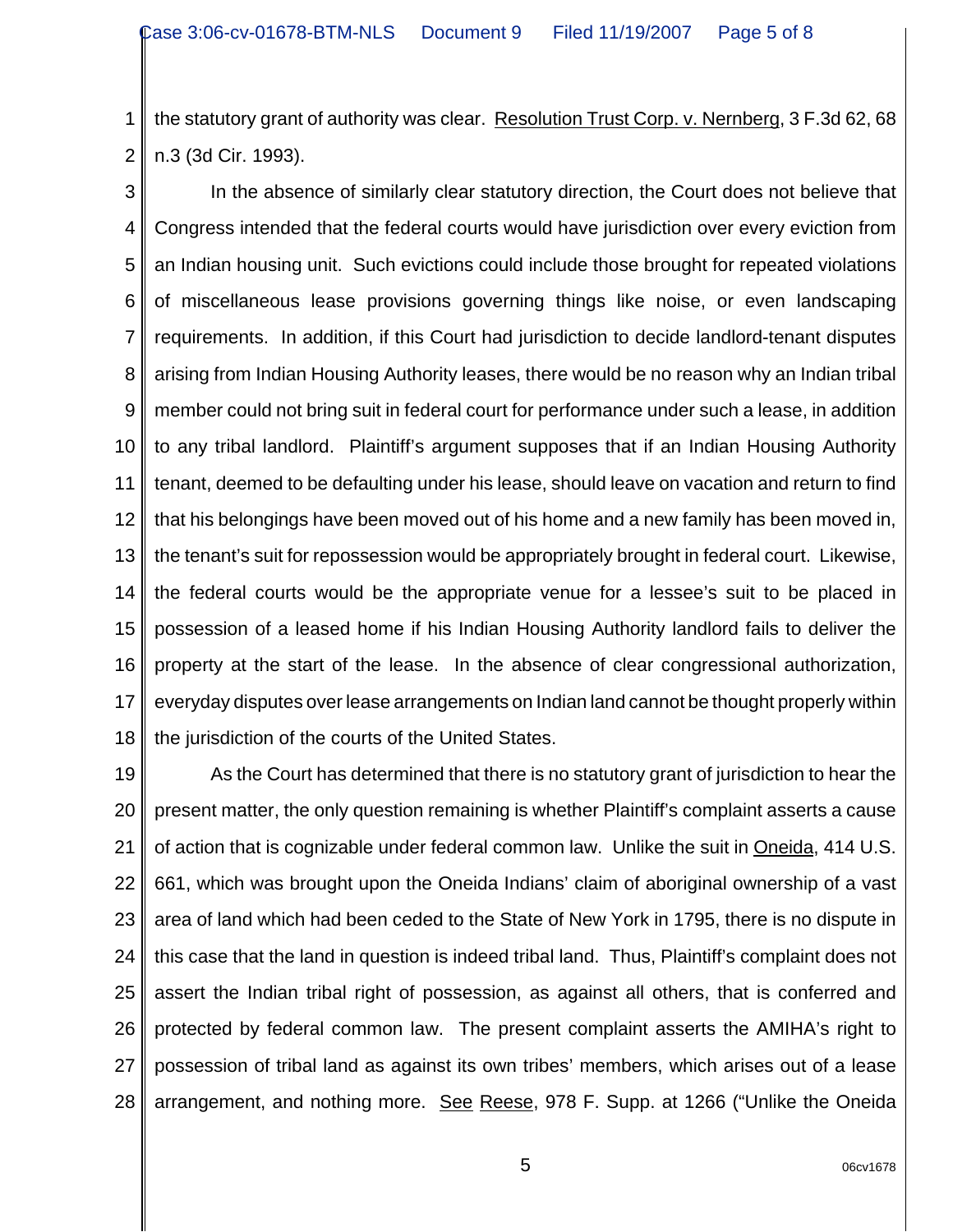1 2 the statutory grant of authority was clear. Resolution Trust Corp. v. Nernberg, 3 F.3d 62, 68 n.3 (3d Cir. 1993).

3 4 5 6 7 8 9 10 11 12 13 14 15 16 17 18 In the absence of similarly clear statutory direction, the Court does not believe that Congress intended that the federal courts would have jurisdiction over every eviction from an Indian housing unit. Such evictions could include those brought for repeated violations of miscellaneous lease provisions governing things like noise, or even landscaping requirements. In addition, if this Court had jurisdiction to decide landlord-tenant disputes arising from Indian Housing Authority leases, there would be no reason why an Indian tribal member could not bring suit in federal court for performance under such a lease, in addition to any tribal landlord. Plaintiff's argument supposes that if an Indian Housing Authority tenant, deemed to be defaulting under his lease, should leave on vacation and return to find that his belongings have been moved out of his home and a new family has been moved in, the tenant's suit for repossession would be appropriately brought in federal court. Likewise, the federal courts would be the appropriate venue for a lessee's suit to be placed in possession of a leased home if his Indian Housing Authority landlord fails to deliver the property at the start of the lease. In the absence of clear congressional authorization, everyday disputes over lease arrangements on Indian land cannot be thought properly within the jurisdiction of the courts of the United States.

19 20 21 22 23 24 25 26 27 28 As the Court has determined that there is no statutory grant of jurisdiction to hear the present matter, the only question remaining is whether Plaintiff's complaint asserts a cause of action that is cognizable under federal common law. Unlike the suit in Oneida, 414 U.S. 661, which was brought upon the Oneida Indians' claim of aboriginal ownership of a vast area of land which had been ceded to the State of New York in 1795, there is no dispute in this case that the land in question is indeed tribal land. Thus, Plaintiff's complaint does not assert the Indian tribal right of possession, as against all others, that is conferred and protected by federal common law. The present complaint asserts the AMIHA's right to possession of tribal land as against its own tribes' members, which arises out of a lease arrangement, and nothing more. See Reese, 978 F. Supp. at 1266 ("Unlike the Oneida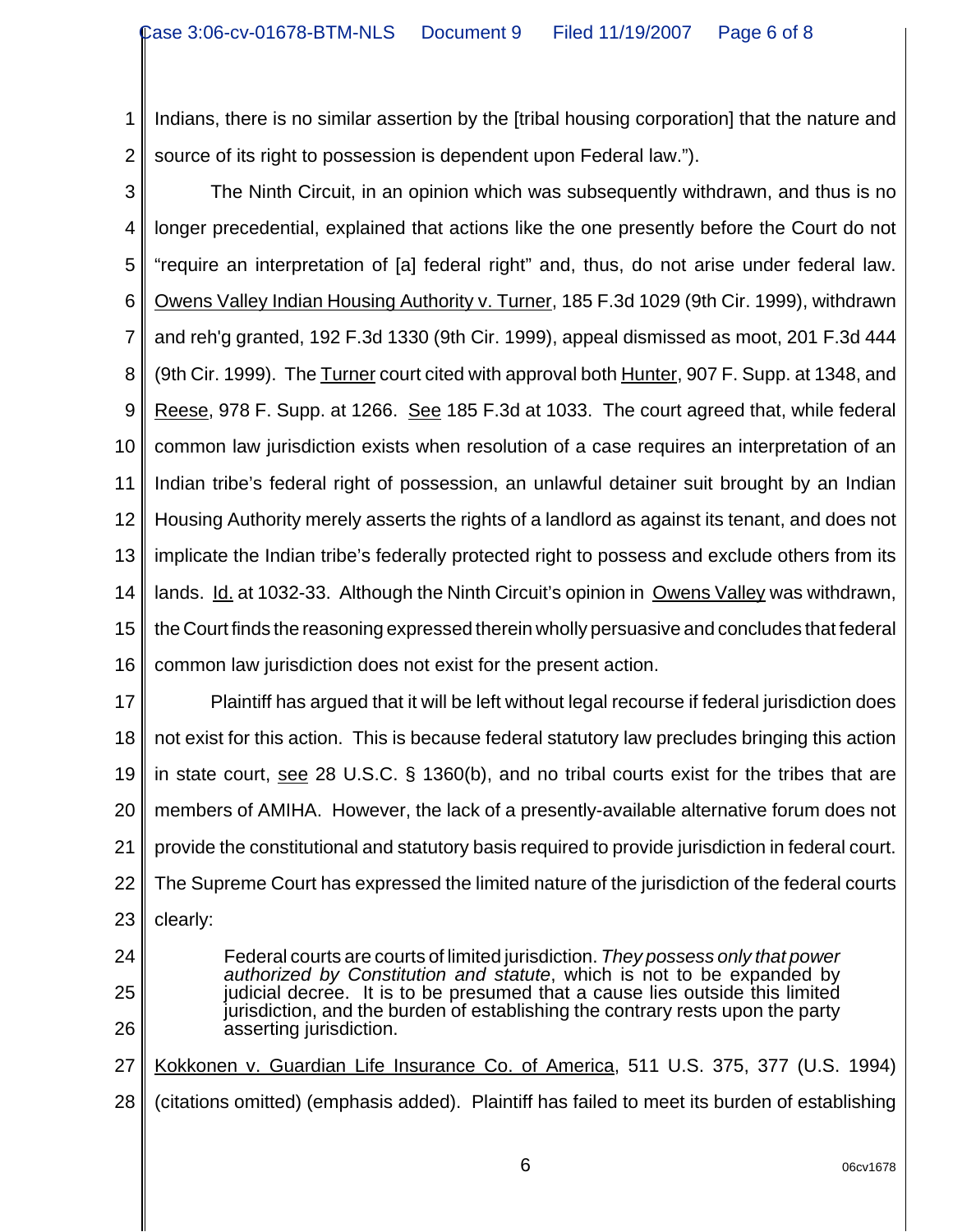1 2 Indians, there is no similar assertion by the [tribal housing corporation] that the nature and source of its right to possession is dependent upon Federal law.").

3

4 5 6 7 8 9 10 11 12 13 14 15 16 The Ninth Circuit, in an opinion which was subsequently withdrawn, and thus is no longer precedential, explained that actions like the one presently before the Court do not "require an interpretation of [a] federal right" and, thus, do not arise under federal law. Owens Valley Indian Housing Authority v. Turner, 185 F.3d 1029 (9th Cir. 1999), withdrawn and reh'g granted, 192 F.3d 1330 (9th Cir. 1999), appeal dismissed as moot, 201 F.3d 444 (9th Cir. 1999). The Turner court cited with approval both Hunter, 907 F. Supp. at 1348, and Reese, 978 F. Supp. at 1266. See 185 F.3d at 1033. The court agreed that, while federal common law jurisdiction exists when resolution of a case requires an interpretation of an Indian tribe's federal right of possession, an unlawful detainer suit brought by an Indian Housing Authority merely asserts the rights of a landlord as against its tenant, and does not implicate the Indian tribe's federally protected right to possess and exclude others from its lands. Id. at 1032-33. Although the Ninth Circuit's opinion in Owens Valley was withdrawn, the Court finds the reasoning expressed therein wholly persuasive and concludes that federal common law jurisdiction does not exist for the present action.

17 18 19 20 21 22 23 Plaintiff has argued that it will be left without legal recourse if federal jurisdiction does not exist for this action. This is because federal statutory law precludes bringing this action in state court, see 28 U.S.C. § 1360(b), and no tribal courts exist for the tribes that are members of AMIHA. However, the lack of a presently-available alternative forum does not provide the constitutional and statutory basis required to provide jurisdiction in federal court. The Supreme Court has expressed the limited nature of the jurisdiction of the federal courts clearly:

- 24
- 25

26

27

jurisdiction, and the burden of establishing the contrary rests upon the party asserting jurisdiction. Kokkonen v. Guardian Life Insurance Co. of America, 511 U.S. 375, 377 (U.S. 1994)

Federal courts are courts of limited jurisdiction. *They possess only that power authorized by Constitution and statute*, which is not to be expanded by judicial decree. It is to be presumed that a cause lies outside this limited

28 (citations omitted) (emphasis added). Plaintiff has failed to meet its burden of establishing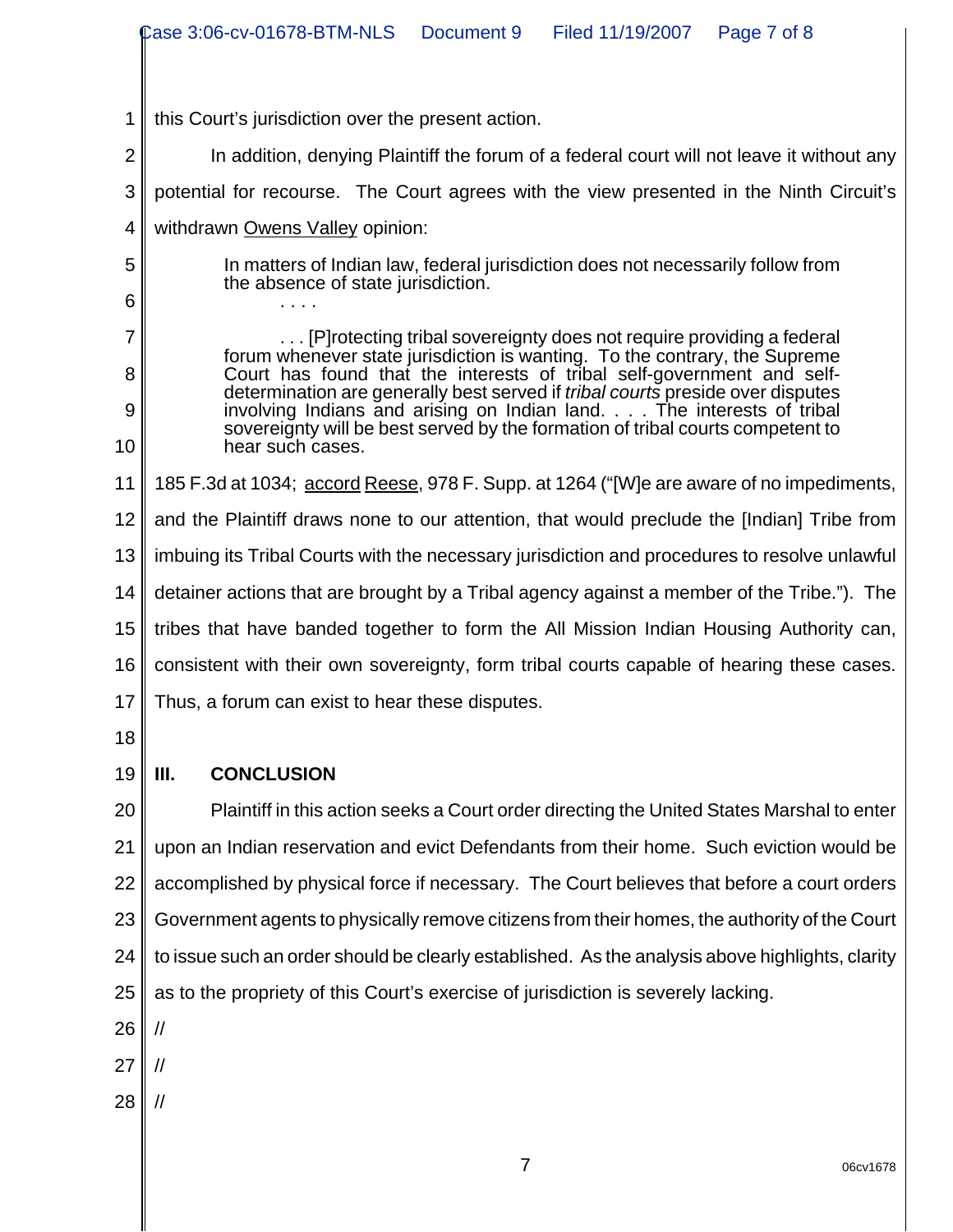|                | Case 3:06-cv-01678-BTM-NLS<br>Document 9<br>Filed 11/19/2007<br>Page 7 of 8                                                                                    |  |  |  |
|----------------|----------------------------------------------------------------------------------------------------------------------------------------------------------------|--|--|--|
|                |                                                                                                                                                                |  |  |  |
| 1              | this Court's jurisdiction over the present action.                                                                                                             |  |  |  |
| $\overline{2}$ | In addition, denying Plaintiff the forum of a federal court will not leave it without any                                                                      |  |  |  |
| 3              | potential for recourse. The Court agrees with the view presented in the Ninth Circuit's                                                                        |  |  |  |
| 4              | withdrawn Owens Valley opinion:                                                                                                                                |  |  |  |
| 5              | In matters of Indian law, federal jurisdiction does not necessarily follow from                                                                                |  |  |  |
| 6              | the absence of state jurisdiction.                                                                                                                             |  |  |  |
| $\overline{7}$ | [P] rotecting tribal sovereignty does not require providing a federal                                                                                          |  |  |  |
| 8              | forum whenever state jurisdiction is wanting. To the contrary, the Supreme<br>Court has found that the interests of tribal self-government and self-           |  |  |  |
| 9              | determination are generally best served if <i>tribal courts</i> preside over disputes<br>involving Indians and arising on Indian land. The interests of tribal |  |  |  |
| 10             | sovereignty will be best served by the formation of tribal courts competent to<br>hear such cases.                                                             |  |  |  |
| 11             | 185 F.3d at 1034; accord Reese, 978 F. Supp. at 1264 ("[W]e are aware of no impediments,                                                                       |  |  |  |
| 12             | and the Plaintiff draws none to our attention, that would preclude the [Indian] Tribe from                                                                     |  |  |  |
| 13             | imbuing its Tribal Courts with the necessary jurisdiction and procedures to resolve unlawful                                                                   |  |  |  |
| 14             | detainer actions that are brought by a Tribal agency against a member of the Tribe."). The                                                                     |  |  |  |
| 15             | tribes that have banded together to form the All Mission Indian Housing Authority can,                                                                         |  |  |  |
| 16             | consistent with their own sovereignty, form tribal courts capable of hearing these cases.                                                                      |  |  |  |
|                | 17 Thus, a forum can exist to hear these disputes.                                                                                                             |  |  |  |
| 18             |                                                                                                                                                                |  |  |  |
| 19             | <b>CONCLUSION</b><br>III.                                                                                                                                      |  |  |  |
| 20             | Plaintiff in this action seeks a Court order directing the United States Marshal to enter                                                                      |  |  |  |
| 21             | upon an Indian reservation and evict Defendants from their home. Such eviction would be                                                                        |  |  |  |
| 22             | accomplished by physical force if necessary. The Court believes that before a court orders                                                                     |  |  |  |
| 23             | Government agents to physically remove citizens from their homes, the authority of the Court                                                                   |  |  |  |
| 24             | to issue such an order should be clearly established. As the analysis above highlights, clarity                                                                |  |  |  |
| 25             | as to the propriety of this Court's exercise of jurisdiction is severely lacking.                                                                              |  |  |  |
| 26             | //                                                                                                                                                             |  |  |  |
| 27             | //                                                                                                                                                             |  |  |  |
| 28             | //                                                                                                                                                             |  |  |  |
|                |                                                                                                                                                                |  |  |  |